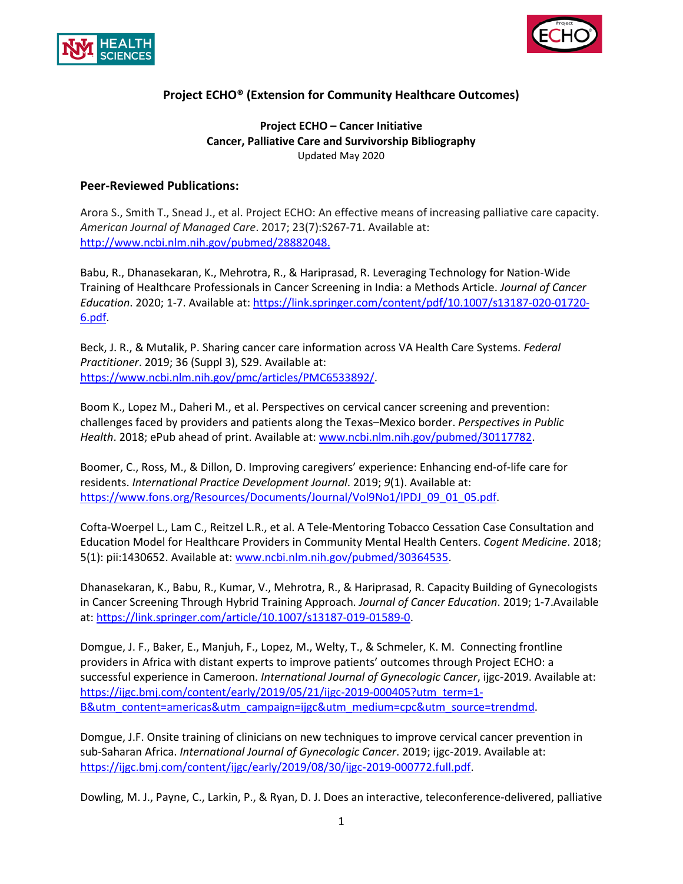



### **Project ECHO – Cancer Initiative Cancer, Palliative Care and Survivorship Bibliography** Updated May 2020

#### **Peer-Reviewed Publications:**

Arora S., Smith T., Snead J., et al. Project ECHO: An effective means of increasing palliative care capacity. *American Journal of Managed Care*. 2017; 23(7):S267-71. Available at: [http://www.ncbi.nlm.nih.gov/pubmed/28882048.](http://www.ncbi.nlm.nih.gov/pubmed/28882048)

Babu, R., Dhanasekaran, K., Mehrotra, R., & Hariprasad, R. Leveraging Technology for Nation-Wide Training of Healthcare Professionals in Cancer Screening in India: a Methods Article. *Journal of Cancer Education*. 2020; 1-7. Available at: [https://link.springer.com/content/pdf/10.1007/s13187-020-01720-](https://link.springer.com/content/pdf/10.1007/s13187-020-01720-6.pdf) [6.pdf.](https://link.springer.com/content/pdf/10.1007/s13187-020-01720-6.pdf)

Beck, J. R., & Mutalik, P. Sharing cancer care information across VA Health Care Systems. *Federal Practitioner*. 2019; 36 (Suppl 3), S29. Available at: [https://www.ncbi.nlm.nih.gov/pmc/articles/PMC6533892/.](https://www.ncbi.nlm.nih.gov/pmc/articles/PMC6533892/)

Boom K., Lopez M., Daheri M., et al. Perspectives on cervical cancer screening and prevention: challenges faced by providers and patients along the Texas–Mexico border. *Perspectives in Public Health*. 2018; ePub ahead of print. Available at: [www.ncbi.nlm.nih.gov/pubmed/30117782.](http://www.ncbi.nlm.nih.gov/pubmed/30117782)

Boomer, C., Ross, M., & Dillon, D. Improving caregivers' experience: Enhancing end-of-life care for residents. *International Practice Development Journal*. 2019; *9*(1). Available at: [https://www.fons.org/Resources/Documents/Journal/Vol9No1/IPDJ\\_09\\_01\\_05.pdf.](https://www.fons.org/Resources/Documents/Journal/Vol9No1/IPDJ_09_01_05.pdf)

Cofta-Woerpel L., Lam C., Reitzel L.R., et al. A Tele-Mentoring Tobacco Cessation Case Consultation and Education Model for Healthcare Providers in Community Mental Health Centers. *Cogent Medicine*. 2018; 5(1): pii:1430652. Available at: [www.ncbi.nlm.nih.gov/pubmed/30364535.](http://www.ncbi.nlm.nih.gov/pubmed/30364535)

Dhanasekaran, K., Babu, R., Kumar, V., Mehrotra, R., & Hariprasad, R. Capacity Building of Gynecologists in Cancer Screening Through Hybrid Training Approach. *Journal of Cancer Education*. 2019; 1-7.Available at: [https://link.springer.com/article/10.1007/s13187-019-01589-0.](https://link.springer.com/article/10.1007/s13187-019-01589-0)

Domgue, J. F., Baker, E., Manjuh, F., Lopez, M., Welty, T., & Schmeler, K. M. Connecting frontline providers in Africa with distant experts to improve patients' outcomes through Project ECHO: a successful experience in Cameroon. *International Journal of Gynecologic Cancer*, ijgc-2019. Available at: [https://ijgc.bmj.com/content/early/2019/05/21/ijgc-2019-000405?utm\\_term=1-](https://ijgc.bmj.com/content/early/2019/05/21/ijgc-2019-000405?utm_term=1-B&utm_content=americas&utm_campaign=ijgc&utm_medium=cpc&utm_source=trendmd) [B&utm\\_content=americas&utm\\_campaign=ijgc&utm\\_medium=cpc&utm\\_source=trendmd.](https://ijgc.bmj.com/content/early/2019/05/21/ijgc-2019-000405?utm_term=1-B&utm_content=americas&utm_campaign=ijgc&utm_medium=cpc&utm_source=trendmd)

Domgue, J.F. Onsite training of clinicians on new techniques to improve cervical cancer prevention in sub-Saharan Africa. *International Journal of Gynecologic Cancer*. 2019; ijgc-2019. Available at: [https://ijgc.bmj.com/content/ijgc/early/2019/08/30/ijgc-2019-000772.full.pdf.](https://ijgc.bmj.com/content/ijgc/early/2019/08/30/ijgc-2019-000772.full.pdf)

Dowling, M. J., Payne, C., Larkin, P., & Ryan, D. J. Does an interactive, teleconference-delivered, palliative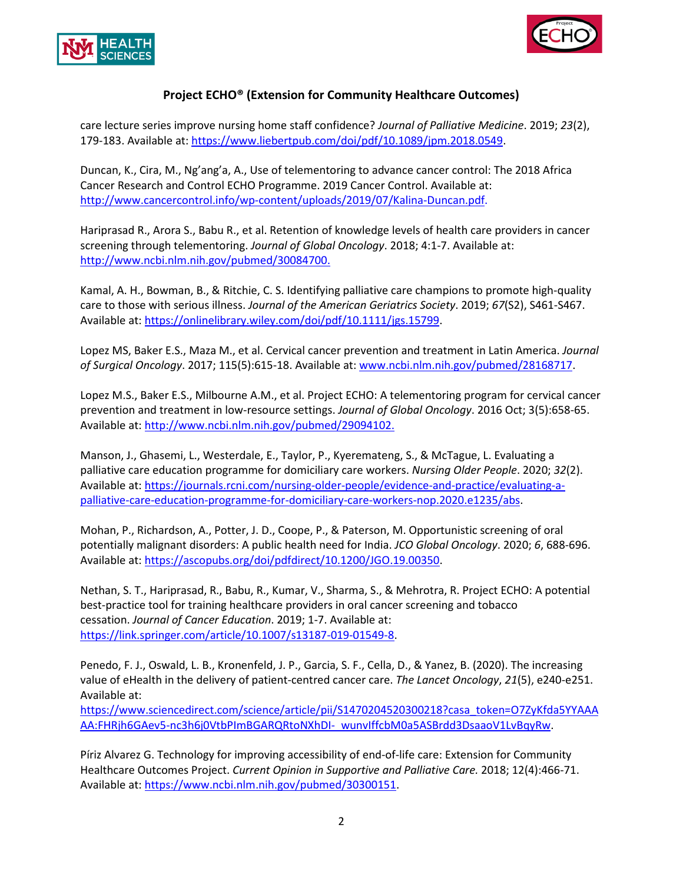



care lecture series improve nursing home staff confidence? *Journal of Palliative Medicine*. 2019; *23*(2), 179-183. Available at[: https://www.liebertpub.com/doi/pdf/10.1089/jpm.2018.0549.](https://www.liebertpub.com/doi/pdf/10.1089/jpm.2018.0549)

Duncan, K., Cira, M., Ng'ang'a, A., Use of telementoring to advance cancer control: The 2018 Africa Cancer Research and Control ECHO Programme. 2019 Cancer Control. Available at: [http://www.cancercontrol.info/wp-content/uploads/2019/07/Kalina-Duncan.pdf.](http://www.cancercontrol.info/wp-content/uploads/2019/07/Kalina-Duncan.pdf)

Hariprasad R., Arora S., Babu R., et al. Retention of knowledge levels of health care providers in cancer screening through telementoring. *Journal of Global Oncology*. 2018; 4:1-7. Available at: [http://www.ncbi.nlm.nih.gov/pubmed/30084700.](http://www.ncbi.nlm.nih.gov/pubmed/30084700)

Kamal, A. H., Bowman, B., & Ritchie, C. S. Identifying palliative care champions to promote high-quality care to those with serious illness. *Journal of the American Geriatrics Society*. 2019; *67*(S2), S461-S467. Available at[: https://onlinelibrary.wiley.com/doi/pdf/10.1111/jgs.15799.](https://onlinelibrary.wiley.com/doi/pdf/10.1111/jgs.15799)

Lopez MS, Baker E.S., Maza M., et al. Cervical cancer prevention and treatment in Latin America. *Journal of Surgical Oncology*. 2017; 115(5):615-18. Available at: [www.ncbi.nlm.nih.gov/pubmed/28168717.](http://www.ncbi.nlm.nih.gov/pubmed/28168717)

Lopez M.S., Baker E.S., Milbourne A.M., et al. Project ECHO: A telementoring program for cervical cancer prevention and treatment in low-resource settings. *Journal of Global Oncology*. 2016 Oct; 3(5):658-65. Available at[: http://www.ncbi.nlm.nih.gov/pubmed/29094102.](http://www.ncbi.nlm.nih.gov/pubmed/29094102)

Manson, J., Ghasemi, L., Westerdale, E., Taylor, P., Kyeremateng, S., & McTague, L. Evaluating a palliative care education programme for domiciliary care workers. *Nursing Older People*. 2020; *32*(2). Available at[: https://journals.rcni.com/nursing-older-people/evidence-and-practice/evaluating-a](https://journals.rcni.com/nursing-older-people/evidence-and-practice/evaluating-a-palliative-care-education-programme-for-domiciliary-care-workers-nop.2020.e1235/abs)[palliative-care-education-programme-for-domiciliary-care-workers-nop.2020.e1235/abs.](https://journals.rcni.com/nursing-older-people/evidence-and-practice/evaluating-a-palliative-care-education-programme-for-domiciliary-care-workers-nop.2020.e1235/abs)

Mohan, P., Richardson, A., Potter, J. D., Coope, P., & Paterson, M. Opportunistic screening of oral potentially malignant disorders: A public health need for India. *JCO Global Oncology*. 2020; *6*, 688-696. Available at[: https://ascopubs.org/doi/pdfdirect/10.1200/JGO.19.00350.](https://ascopubs.org/doi/pdfdirect/10.1200/JGO.19.00350)

Nethan, S. T., Hariprasad, R., Babu, R., Kumar, V., Sharma, S., & Mehrotra, R. Project ECHO: A potential best-practice tool for training healthcare providers in oral cancer screening and tobacco cessation. *Journal of Cancer Education*. 2019; 1-7. Available at: [https://link.springer.com/article/10.1007/s13187-019-01549-8.](https://link.springer.com/article/10.1007/s13187-019-01549-8)

Penedo, F. J., Oswald, L. B., Kronenfeld, J. P., Garcia, S. F., Cella, D., & Yanez, B. (2020). The increasing value of eHealth in the delivery of patient-centred cancer care. *The Lancet Oncology*, *21*(5), e240-e251. Available at:

[https://www.sciencedirect.com/science/article/pii/S1470204520300218?casa\\_token=O7ZyKfda5YYAAA](https://www.sciencedirect.com/science/article/pii/S1470204520300218?casa_token=O7ZyKfda5YYAAAAA:FHRjh6GAev5-nc3h6j0VtbPImBGARQRtoNXhDI-_wunvIffcbM0a5ASBrdd3DsaaoV1LvBqyRw) [AA:FHRjh6GAev5-nc3h6j0VtbPImBGARQRtoNXhDI-\\_wunvIffcbM0a5ASBrdd3DsaaoV1LvBqyRw.](https://www.sciencedirect.com/science/article/pii/S1470204520300218?casa_token=O7ZyKfda5YYAAAAA:FHRjh6GAev5-nc3h6j0VtbPImBGARQRtoNXhDI-_wunvIffcbM0a5ASBrdd3DsaaoV1LvBqyRw)

Píriz Alvarez G. Technology for improving accessibility of end-of-life care: Extension for Community Healthcare Outcomes Project. *Current Opinion in Supportive and Palliative Care.* 2018; 12(4):466-71. Available at[: https://www.ncbi.nlm.nih.gov/pubmed/30300151.](https://www.ncbi.nlm.nih.gov/pubmed/30300151)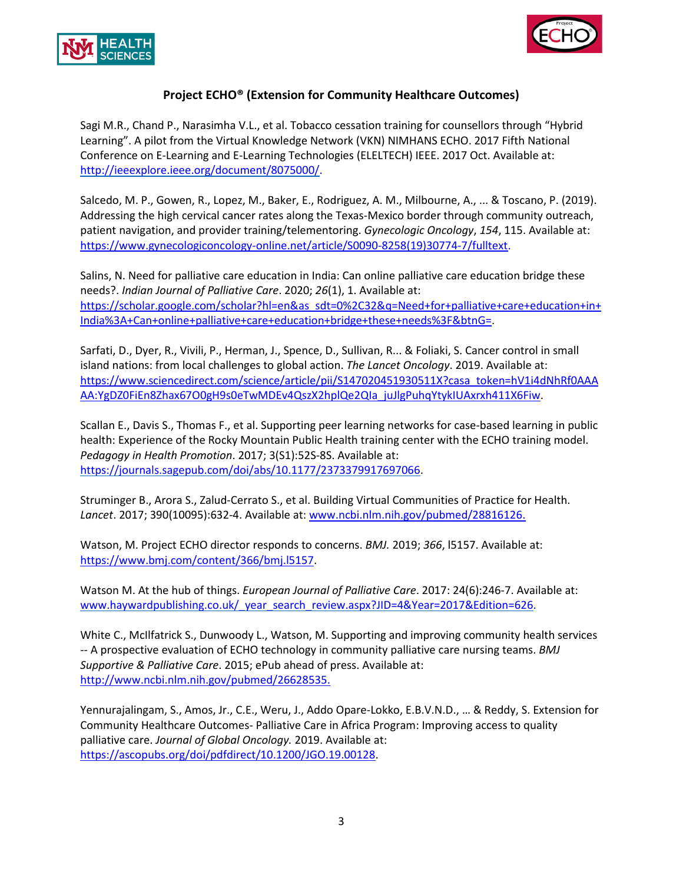



Sagi M.R., Chand P., Narasimha V.L., et al. Tobacco cessation training for counsellors through "Hybrid Learning". A pilot from the Virtual Knowledge Network (VKN) NIMHANS ECHO. 2017 Fifth National Conference on E-Learning and E-Learning Technologies (ELELTECH) IEEE. 2017 Oct. Available at: [http://ieeexplore.ieee.org/document/8075000/.](http://ieeexplore.ieee.org/document/8075000/)

Salcedo, M. P., Gowen, R., Lopez, M., Baker, E., Rodriguez, A. M., Milbourne, A., ... & Toscano, P. (2019). Addressing the high cervical cancer rates along the Texas-Mexico border through community outreach, patient navigation, and provider training/telementoring. *Gynecologic Oncology*, *154*, 115. Available at: [https://www.gynecologiconcology-online.net/article/S0090-8258\(19\)30774-7/fulltext.](https://www.gynecologiconcology-online.net/article/S0090-8258(19)30774-7/fulltext)

Salins, N. Need for palliative care education in India: Can online palliative care education bridge these needs?. *Indian Journal of Palliative Care*. 2020; *26*(1), 1. Available at: [https://scholar.google.com/scholar?hl=en&as\\_sdt=0%2C32&q=Need+for+palliative+care+education+in+](https://scholar.google.com/scholar?hl=en&as_sdt=0%2C32&q=Need+for+palliative+care+education+in+India%3A+Can+online+palliative+care+education+bridge+these+needs%3F&btnG=) [India%3A+Can+online+palliative+care+education+bridge+these+needs%3F&btnG=.](https://scholar.google.com/scholar?hl=en&as_sdt=0%2C32&q=Need+for+palliative+care+education+in+India%3A+Can+online+palliative+care+education+bridge+these+needs%3F&btnG=)

Sarfati, D., Dyer, R., Vivili, P., Herman, J., Spence, D., Sullivan, R... & Foliaki, S. Cancer control in small island nations: from local challenges to global action. *The Lancet Oncology*. 2019. Available at: [https://www.sciencedirect.com/science/article/pii/S147020451930511X?casa\\_token=hV1i4dNhRf0AAA](https://www.sciencedirect.com/science/article/pii/S147020451930511X?casa_token=hV1i4dNhRf0AAAAA:YgDZ0FiEn8Zhax67O0gH9s0eTwMDEv4QszX2hplQe2QIa_juJlgPuhqYtykIUAxrxh411X6Fiw) [AA:YgDZ0FiEn8Zhax67O0gH9s0eTwMDEv4QszX2hplQe2QIa\\_juJlgPuhqYtykIUAxrxh411X6Fiw.](https://www.sciencedirect.com/science/article/pii/S147020451930511X?casa_token=hV1i4dNhRf0AAAAA:YgDZ0FiEn8Zhax67O0gH9s0eTwMDEv4QszX2hplQe2QIa_juJlgPuhqYtykIUAxrxh411X6Fiw)

Scallan E., Davis S., Thomas F., et al. Supporting peer learning networks for case-based learning in public health: Experience of the Rocky Mountain Public Health training center with the ECHO training model. *Pedagogy in Health Promotion*. 2017; 3(S1):52S-8S. Available at: [https://journals.sagepub.com/doi/abs/10.1177/2373379917697066.](https://journals.sagepub.com/doi/abs/10.1177/2373379917697066)

Struminger B., Arora S., Zalud-Cerrato S., et al. Building Virtual Communities of Practice for Health. *Lancet*. 2017; 390(10095):632-4. Available at: [www.ncbi.nlm.nih.gov/pubmed/28816126.](http://www.ncbi.nlm.nih.gov/pubmed/28816126)

Watson, M. Project ECHO director responds to concerns. *BMJ.* 2019; *366*, l5157. Available at: [https://www.bmj.com/content/366/bmj.l5157.](https://www.bmj.com/content/366/bmj.l5157)

Watson M. At the hub of things. *European Journal of Palliative Care*. 2017: 24(6):246-7. Available at: www.haywardpublishing.co.uk/\_year\_search\_review.aspx?JID=4&Year=2017&Edition=626.

White C., McIlfatrick S., Dunwoody L., Watson, M. Supporting and improving community health services -- A prospective evaluation of ECHO technology in community palliative care nursing teams. *BMJ Supportive & Palliative Care*. 2015; ePub ahead of press. Available at: [http://www.ncbi.nlm.nih.gov/pubmed/26628535.](http://www.ncbi.nlm.nih.gov/pubmed/26628535)

Yennurajalingam, S., Amos, Jr., C.E., Weru, J., Addo Opare-Lokko, E.B.V.N.D., … & Reddy, S. Extension for Community Healthcare Outcomes- Palliative Care in Africa Program: Improving access to quality palliative care. *Journal of Global Oncology.* 2019. Available at: [https://ascopubs.org/doi/pdfdirect/10.1200/JGO.19.00128.](https://ascopubs.org/doi/pdfdirect/10.1200/JGO.19.00128)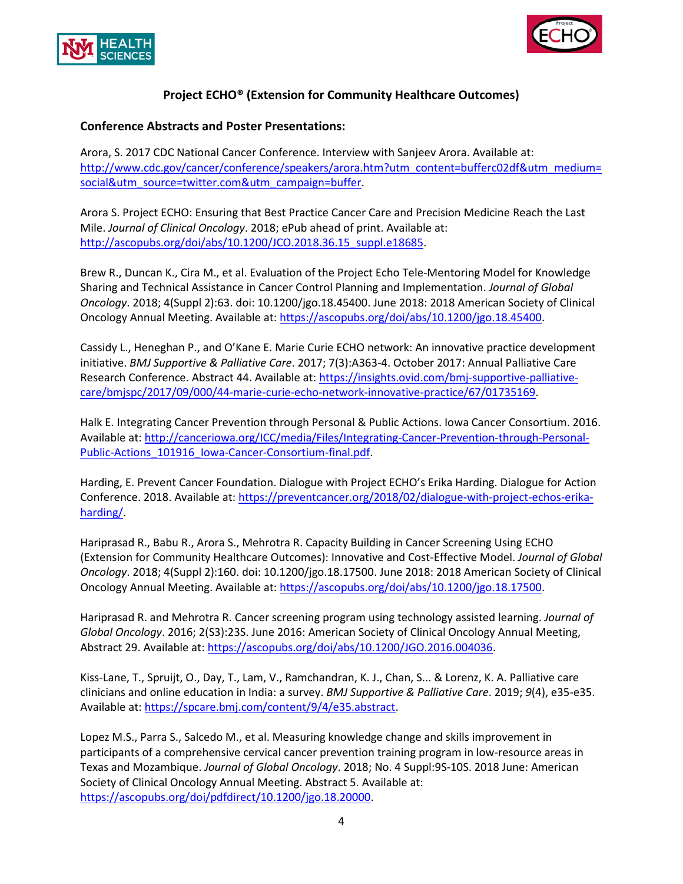



### **Conference Abstracts and Poster Presentations:**

Arora, S. 2017 CDC National Cancer Conference. Interview with Sanjeev Arora. Available at: [http://www.cdc.gov/cancer/conference/speakers/arora.htm?utm\\_content=bufferc02df&utm\\_medium=](http://www.cdc.gov/cancer/conference/speakers/arora.htm?utm_content=bufferc02df&utm_medium=social&utm_source=twitter.com&utm_campaign=buffer) [social&utm\\_source=twitter.com&utm\\_campaign=buffer.](http://www.cdc.gov/cancer/conference/speakers/arora.htm?utm_content=bufferc02df&utm_medium=social&utm_source=twitter.com&utm_campaign=buffer)

Arora S. Project ECHO: Ensuring that Best Practice Cancer Care and Precision Medicine Reach the Last Mile. *Journal of Clinical Oncology*. 2018; ePub ahead of print. Available at: [http://ascopubs.org/doi/abs/10.1200/JCO.2018.36.15\\_suppl.e18685.](http://ascopubs.org/doi/abs/10.1200/JCO.2018.36.15_suppl.e18685)

Brew R., Duncan K., Cira M., et al. Evaluation of the Project Echo Tele-Mentoring Model for Knowledge Sharing and Technical Assistance in Cancer Control Planning and Implementation. *Journal of Global Oncology*. 2018; 4(Suppl 2):63. doi: 10.1200/jgo.18.45400. June 2018: 2018 American Society of Clinical Oncology Annual Meeting. Available at: [https://ascopubs.org/doi/abs/10.1200/jgo.18.45400.](https://ascopubs.org/doi/abs/10.1200/jgo.18.45400)

Cassidy L., Heneghan P., and O'Kane E. Marie Curie ECHO network: An innovative practice development initiative. *BMJ Supportive & Palliative Care*. 2017; 7(3):A363-4. October 2017: Annual Palliative Care Research Conference. Abstract 44. Available at: [https://insights.ovid.com/bmj-supportive-palliative](https://insights.ovid.com/bmj-supportive-palliative-care/bmjspc/2017/09/000/44-marie-curie-echo-network-innovative-practice/67/01735169)[care/bmjspc/2017/09/000/44-marie-curie-echo-network-innovative-practice/67/01735169.](https://insights.ovid.com/bmj-supportive-palliative-care/bmjspc/2017/09/000/44-marie-curie-echo-network-innovative-practice/67/01735169)

Halk E. Integrating Cancer Prevention through Personal & Public Actions. Iowa Cancer Consortium. 2016. Available at[: http://canceriowa.org/ICC/media/Files/Integrating-Cancer-Prevention-through-Personal-](http://canceriowa.org/ICC/media/Files/Integrating-Cancer-Prevention-through-Personal-Public-Actions_101916_Iowa-Cancer-Consortium-final.pdf)Public-Actions 101916 lowa-Cancer-Consortium-final.pdf.

Harding, E. Prevent Cancer Foundation. Dialogue with Project ECHO's Erika Harding. Dialogue for Action Conference. 2018. Available at: [https://preventcancer.org/2018/02/dialogue-with-project-echos-erika](https://preventcancer.org/2018/02/dialogue-with-project-echos-erika-harding/)[harding/.](https://preventcancer.org/2018/02/dialogue-with-project-echos-erika-harding/)

Hariprasad R., Babu R., Arora S., Mehrotra R. Capacity Building in Cancer Screening Using ECHO (Extension for Community Healthcare Outcomes): Innovative and Cost-Effective Model. *Journal of Global Oncology*. 2018; 4(Suppl 2):160. doi: 10.1200/jgo.18.17500. June 2018: 2018 American Society of Clinical Oncology Annual Meeting. Available at: [https://ascopubs.org/doi/abs/10.1200/jgo.18.17500.](https://ascopubs.org/doi/abs/10.1200/jgo.18.17500)

Hariprasad R. and Mehrotra R. Cancer screening program using technology assisted learning. *Journal of Global Oncology*. 2016; 2(S3):23S. June 2016: American Society of Clinical Oncology Annual Meeting, Abstract 29. Available at: [https://ascopubs.org/doi/abs/10.1200/JGO.2016.004036.](https://ascopubs.org/doi/abs/10.1200/JGO.2016.004036)

Kiss-Lane, T., Spruijt, O., Day, T., Lam, V., Ramchandran, K. J., Chan, S... & Lorenz, K. A. Palliative care clinicians and online education in India: a survey. *BMJ Supportive & Palliative Care*. 2019; *9*(4), e35-e35. Available at[: https://spcare.bmj.com/content/9/4/e35.abstract.](https://spcare.bmj.com/content/9/4/e35.abstract)

Lopez M.S., Parra S., Salcedo M., et al. Measuring knowledge change and skills improvement in participants of a comprehensive cervical cancer prevention training program in low-resource areas in Texas and Mozambique. *Journal of Global Oncology*. 2018; No. 4 Suppl:9S-10S. 2018 June: American Society of Clinical Oncology Annual Meeting. Abstract 5. Available at: [https://ascopubs.org/doi/pdfdirect/10.1200/jgo.18.20000.](https://ascopubs.org/doi/pdfdirect/10.1200/jgo.18.20000)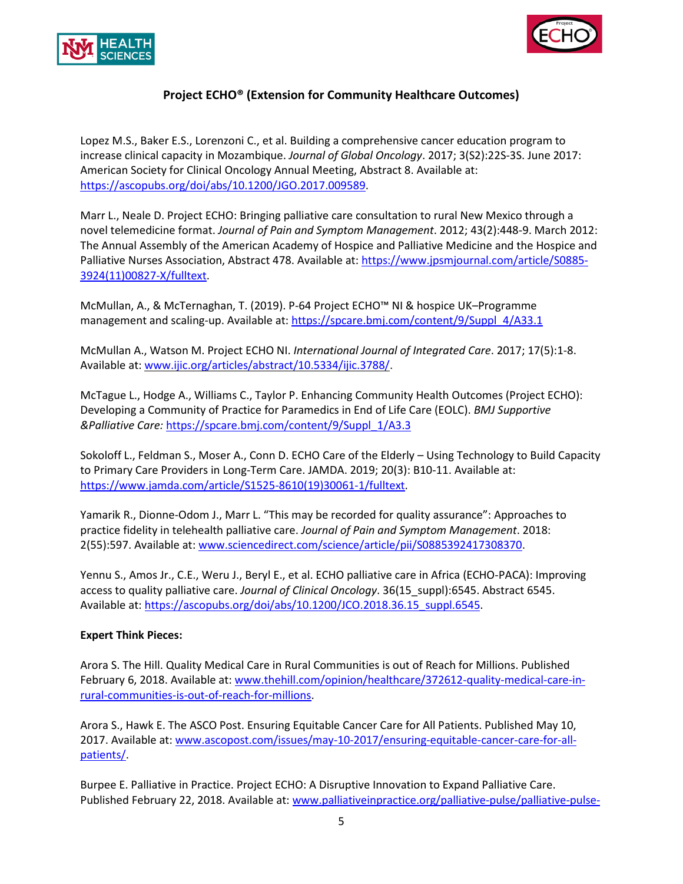



Lopez M.S., Baker E.S., Lorenzoni C., et al. Building a comprehensive cancer education program to increase clinical capacity in Mozambique. *Journal of Global Oncology*. 2017; 3(S2):22S-3S. June 2017: American Society for Clinical Oncology Annual Meeting, Abstract 8. Available at: [https://ascopubs.org/doi/abs/10.1200/JGO.2017.009589.](https://ascopubs.org/doi/abs/10.1200/JGO.2017.009589)

Marr L., Neale D. Project ECHO: Bringing palliative care consultation to rural New Mexico through a novel telemedicine format. *Journal of Pain and Symptom Management*. 2012; 43(2):448-9. March 2012: The Annual Assembly of the American Academy of Hospice and Palliative Medicine and the Hospice and Palliative Nurses Association, Abstract 478. Available at: [https://www.jpsmjournal.com/article/S0885-](https://www.jpsmjournal.com/article/S0885-3924(11)00827-X/fulltext) [3924\(11\)00827-X/fulltext.](https://www.jpsmjournal.com/article/S0885-3924(11)00827-X/fulltext)

McMullan, A., & McTernaghan, T. (2019). P-64 Project ECHO™ NI & hospice UK–Programme management and scaling-up. Available at: [https://spcare.bmj.com/content/9/Suppl\\_4/A33.1](https://spcare.bmj.com/content/9/Suppl_4/A33.1)

McMullan A., Watson M. Project ECHO NI. *International Journal of Integrated Care*. 2017; 17(5):1-8. Available at: [www.ijic.org/articles/abstract/10.5334/ijic.3788/.](http://www.ijic.org/articles/abstract/10.5334/ijic.3788/)

McTague L., Hodge A., Williams C., Taylor P. Enhancing Community Health Outcomes (Project ECHO): Developing a Community of Practice for Paramedics in End of Life Care (EOLC). *BMJ Supportive &Palliative Care:* [https://spcare.bmj.com/content/9/Suppl\\_1/A3.3](https://spcare.bmj.com/content/9/Suppl_1/A3.3)

Sokoloff L., Feldman S., Moser A., Conn D. ECHO Care of the Elderly – Using Technology to Build Capacity to Primary Care Providers in Long-Term Care. JAMDA. 2019; 20(3): B10-11. Available at: [https://www.jamda.com/article/S1525-8610\(19\)30061-1/fulltext.](https://www.jamda.com/article/S1525-8610(19)30061-1/fulltext)

Yamarik R., Dionne-Odom J., Marr L. "This may be recorded for quality assurance": Approaches to practice fidelity in telehealth palliative care. *Journal of Pain and Symptom Management*. 2018: 2(55):597. Available at: [www.sciencedirect.com/science/article/pii/S0885392417308370.](http://www.sciencedirect.com/science/article/pii/S0885392417308370)

Yennu S., Amos Jr., C.E., Weru J., Beryl E., et al. ECHO palliative care in Africa (ECHO-PACA): Improving access to quality palliative care. *Journal of Clinical Oncology*. 36(15\_suppl):6545. Abstract 6545. Available at[: https://ascopubs.org/doi/abs/10.1200/JCO.2018.36.15\\_suppl.6545.](https://ascopubs.org/doi/abs/10.1200/JCO.2018.36.15_suppl.6545)

#### **Expert Think Pieces:**

Arora S. The Hill. Quality Medical Care in Rural Communities is out of Reach for Millions. Published February 6, 2018. Available at[: www.thehill.com/opinion/healthcare/372612-quality-medical-care-in](http://www.thehill.com/opinion/healthcare/372612-quality-medical-care-in-rural-communities-is-out-of-reach-for-millions)[rural-communities-is-out-of-reach-for-millions.](http://www.thehill.com/opinion/healthcare/372612-quality-medical-care-in-rural-communities-is-out-of-reach-for-millions)

Arora S., Hawk E. The ASCO Post. Ensuring Equitable Cancer Care for All Patients. Published May 10, 2017. Available at: [www.ascopost.com/issues/may-10-2017/ensuring-equitable-cancer-care-for-all](http://www.ascopost.com/issues/may-10-2017/ensuring-equitable-cancer-care-for-all-patients/)[patients/.](http://www.ascopost.com/issues/may-10-2017/ensuring-equitable-cancer-care-for-all-patients/)

Burpee E. Palliative in Practice. Project ECHO: A Disruptive Innovation to Expand Palliative Care. Published February 22, 2018. Available at: [www.palliativeinpractice.org/palliative-pulse/palliative-pulse-](http://www.palliativeinpractice.org/palliative-pulse/palliative-pulse-february-2018/project-echo-a-disruptive-innovation-to-expand-palliative-care/)